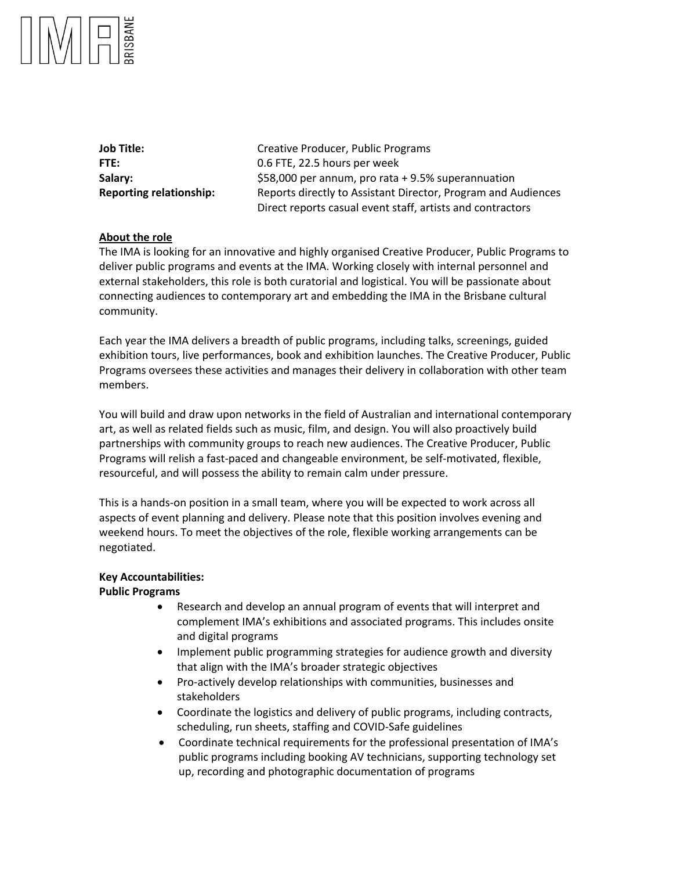**Job Title:** Creative Producer, Public Programs **FTE:** 0.6 FTE, 22.5 hours per week **Salary:** \$58,000 per annum, pro rata + 9.5% superannuation **Reporting relationship:** Reports directly to Assistant Director, Program and Audiences Direct reports casual event staff, artists and contractors

## **About the role**

The IMA is looking for an innovative and highly organised Creative Producer, Public Programs to deliver public programs and events at the IMA. Working closely with internal personnel and external stakeholders, this role is both curatorial and logistical. You will be passionate about connecting audiences to contemporary art and embedding the IMA in the Brisbane cultural community.

Each year the IMA delivers a breadth of public programs, including talks, screenings, guided exhibition tours, live performances, book and exhibition launches. The Creative Producer, Public Programs oversees these activities and manages their delivery in collaboration with other team members.

You will build and draw upon networks in the field of Australian and international contemporary art, as well as related fields such as music, film, and design. You will also proactively build partnerships with community groups to reach new audiences. The Creative Producer, Public Programs will relish a fast-paced and changeable environment, be self-motivated, flexible, resourceful, and will possess the ability to remain calm under pressure.

This is a hands-on position in a small team, where you will be expected to work across all aspects of event planning and delivery. Please note that this position involves evening and weekend hours. To meet the objectives of the role, flexible working arrangements can be negotiated.

## **Key Accountabilities:**

## **Public Programs**

- Research and develop an annual program of events that will interpret and complement IMA's exhibitions and associated programs. This includes onsite and digital programs
- Implement public programming strategies for audience growth and diversity that align with the IMA's broader strategic objectives
- Pro-actively develop relationships with communities, businesses and stakeholders
- Coordinate the logistics and delivery of public programs, including contracts, scheduling, run sheets, staffing and COVID-Safe guidelines
- Coordinate technical requirements for the professional presentation of IMA's public programs including booking AV technicians, supporting technology set up, recording and photographic documentation of programs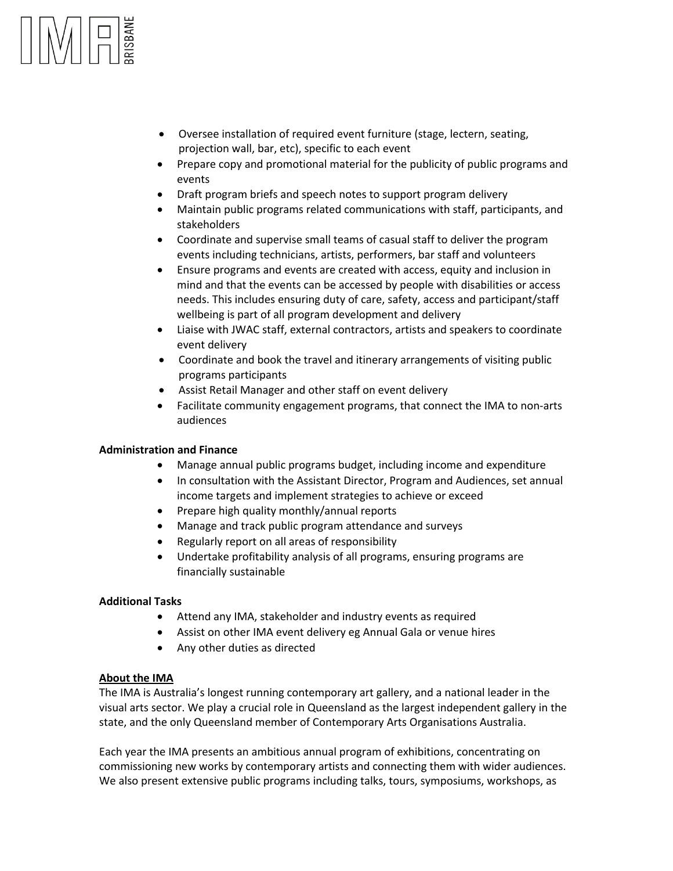- Oversee installation of required event furniture (stage, lectern, seating, projection wall, bar, etc), specific to each event
- Prepare copy and promotional material for the publicity of public programs and events
- Draft program briefs and speech notes to support program delivery
- Maintain public programs related communications with staff, participants, and stakeholders
- Coordinate and supervise small teams of casual staff to deliver the program events including technicians, artists, performers, bar staff and volunteers
- Ensure programs and events are created with access, equity and inclusion in mind and that the events can be accessed by people with disabilities or access needs. This includes ensuring duty of care, safety, access and participant/staff wellbeing is part of all program development and delivery
- Liaise with JWAC staff, external contractors, artists and speakers to coordinate event delivery
- Coordinate and book the travel and itinerary arrangements of visiting public programs participants
- Assist Retail Manager and other staff on event delivery
- Facilitate community engagement programs, that connect the IMA to non-arts audiences

# **Administration and Finance**

- Manage annual public programs budget, including income and expenditure
- In consultation with the Assistant Director, Program and Audiences, set annual income targets and implement strategies to achieve or exceed
- Prepare high quality monthly/annual reports
- Manage and track public program attendance and surveys
- Regularly report on all areas of responsibility
- Undertake profitability analysis of all programs, ensuring programs are financially sustainable

## **Additional Tasks**

- Attend any IMA, stakeholder and industry events as required
- Assist on other IMA event delivery eg Annual Gala or venue hires
- Any other duties as directed

## **About the IMA**

The IMA is Australia's longest running contemporary art gallery, and a national leader in the visual arts sector. We play a crucial role in Queensland as the largest independent gallery in the state, and the only Queensland member of Contemporary Arts Organisations Australia.

Each year the IMA presents an ambitious annual program of exhibitions, concentrating on commissioning new works by contemporary artists and connecting them with wider audiences. We also present extensive public programs including talks, tours, symposiums, workshops, as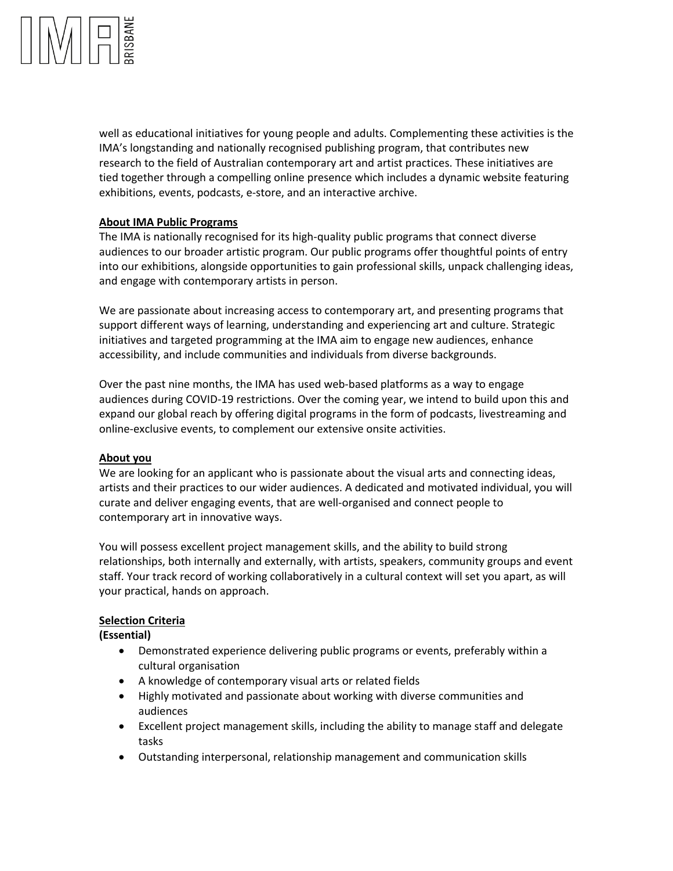

well as educational initiatives for young people and adults. Complementing these activities is the IMA's longstanding and nationally recognised publishing program, that contributes new research to the field of Australian contemporary art and artist practices. These initiatives are tied together through a compelling online presence which includes a dynamic website featuring exhibitions, events, podcasts, e-store, and an interactive archive.

### **About IMA Public Programs**

The IMA is nationally recognised for its high-quality public programs that connect diverse audiences to our broader artistic program. Our public programs offer thoughtful points of entry into our exhibitions, alongside opportunities to gain professional skills, unpack challenging ideas, and engage with contemporary artists in person.

We are passionate about increasing access to contemporary art, and presenting programs that support different ways of learning, understanding and experiencing art and culture. Strategic initiatives and targeted programming at the IMA aim to engage new audiences, enhance accessibility, and include communities and individuals from diverse backgrounds.

Over the past nine months, the IMA has used web-based platforms as a way to engage audiences during COVID-19 restrictions. Over the coming year, we intend to build upon this and expand our global reach by offering digital programs in the form of podcasts, livestreaming and online-exclusive events, to complement our extensive onsite activities.

### **About you**

We are looking for an applicant who is passionate about the visual arts and connecting ideas, artists and their practices to our wider audiences. A dedicated and motivated individual, you will curate and deliver engaging events, that are well-organised and connect people to contemporary art in innovative ways.

You will possess excellent project management skills, and the ability to build strong relationships, both internally and externally, with artists, speakers, community groups and event staff. Your track record of working collaboratively in a cultural context will set you apart, as will your practical, hands on approach.

### **Selection Criteria**

**(Essential)**

- Demonstrated experience delivering public programs or events, preferably within a cultural organisation
- A knowledge of contemporary visual arts or related fields
- Highly motivated and passionate about working with diverse communities and audiences
- Excellent project management skills, including the ability to manage staff and delegate tasks
- Outstanding interpersonal, relationship management and communication skills